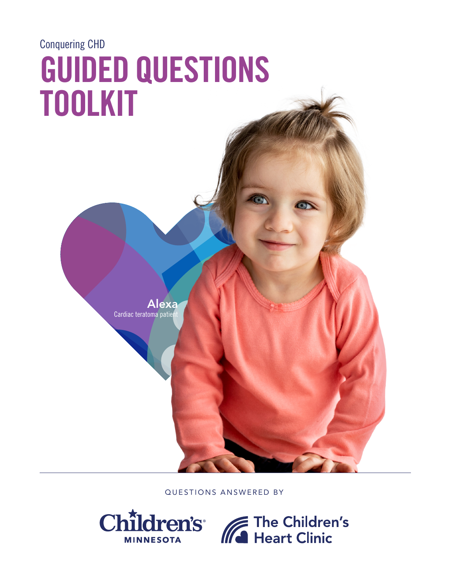# Conquering CHD GUIDED QUESTIONS TOOLKIT

Alexa Cardiac teratoma patie

QUESTIONS ANSWERED BY

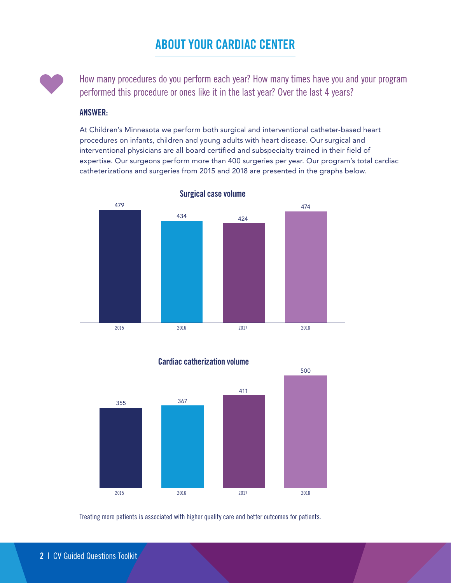# ABOUT YOUR CARDIAC CENTER



How many procedures do you perform each year? How many times have you and your program performed this procedure or ones like it in the last year? Over the last 4 years?

#### ANSWER:

At Children's Minnesota we perform both surgical and interventional catheter-based heart procedures on infants, children and young adults with heart disease. Our surgical and interventional physicians are all board certified and subspecialty trained in their field of expertise. Our surgeons perform more than 400 surgeries per year. Our program's total cardiac catheterizations and surgeries from 2015 and 2018 are presented in the graphs below.







Treating more patients is associated with higher quality care and better outcomes for patients.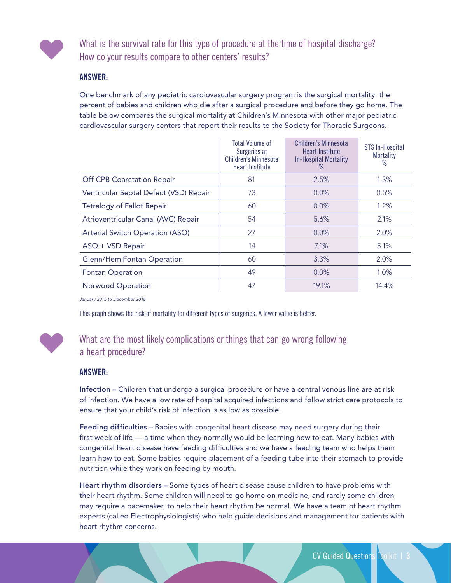

What is the survival rate for this type of procedure at the time of hospital discharge? How do your results compare to other centers' results?

#### ANSWER:

One benchmark of any pediatric cardiovascular surgery program is the surgical mortality: the percent of babies and children who die after a surgical procedure and before they go home. The table below compares the surgical mortality at Children's Minnesota with other major pediatric cardiovascular surgery centers that report their results to the Society for Thoracic Surgeons.

|                                        | <b>Total Volume of</b><br>Surgeries at<br><b>Children's Minnesota</b><br>Heart Institute | Children's Minnesota<br><b>Heart Institute</b><br><b>In-Hospital Mortality</b><br>℅ | STS In-Hospital<br><b>Mortality</b><br>$\%$ |
|----------------------------------------|------------------------------------------------------------------------------------------|-------------------------------------------------------------------------------------|---------------------------------------------|
| <b>Off CPB Coarctation Repair</b>      | 81                                                                                       | 2.5%                                                                                | 1.3%                                        |
| Ventricular Septal Defect (VSD) Repair | 73                                                                                       | 0.0%                                                                                | 0.5%                                        |
| <b>Tetralogy of Fallot Repair</b>      | 60                                                                                       | 0.0%                                                                                | 1.2%                                        |
| Atrioventricular Canal (AVC) Repair    | 54                                                                                       | 5.6%                                                                                | 2.1%                                        |
| Arterial Switch Operation (ASO)        | 27                                                                                       | 0.0%                                                                                | 2.0%                                        |
| ASO + VSD Repair                       | 14                                                                                       | 7.1%                                                                                | 5.1%                                        |
| Glenn/HemiFontan Operation             | 60                                                                                       | 3.3%                                                                                | 2.0%                                        |
| <b>Fontan Operation</b>                | 49                                                                                       | $0.0\%$                                                                             | 1.0%                                        |
| Norwood Operation                      | 47                                                                                       | 19.1%                                                                               | 14.4%                                       |

*January 2015 to December 2018*

This graph shows the risk of mortality for different types of surgeries. A lower value is better.



## What are the most likely complications or things that can go wrong following a heart procedure?

#### ANSWER:

Infection – Children that undergo a surgical procedure or have a central venous line are at risk of infection. We have a low rate of hospital acquired infections and follow strict care protocols to ensure that your child's risk of infection is as low as possible.

Feeding difficulties - Babies with congenital heart disease may need surgery during their first week of life — a time when they normally would be learning how to eat. Many babies with congenital heart disease have feeding difficulties and we have a feeding team who helps them learn how to eat. Some babies require placement of a feeding tube into their stomach to provide nutrition while they work on feeding by mouth.

Heart rhythm disorders - Some types of heart disease cause children to have problems with their heart rhythm. Some children will need to go home on medicine, and rarely some children may require a pacemaker, to help their heart rhythm be normal. We have a team of heart rhythm experts (called Electrophysiologists) who help guide decisions and management for patients with heart rhythm concerns.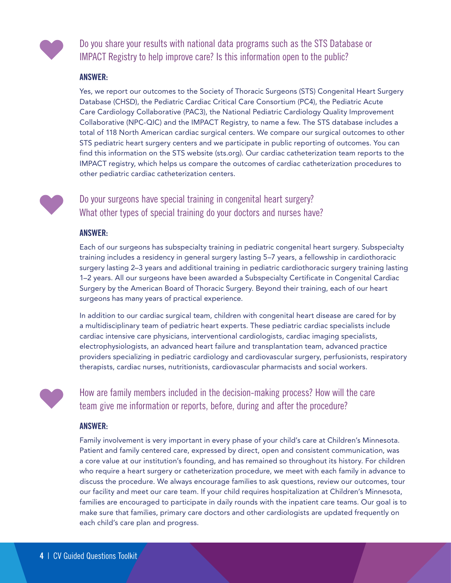

Do you share your results with national data programs such as the STS Database or IMPACT Registry to help improve care? Is this information open to the public?

#### ANSWER:

Yes, we report our outcomes to the Society of Thoracic Surgeons (STS) Congenital Heart Surgery Database (CHSD), the Pediatric Cardiac Critical Care Consortium (PC4), the Pediatric Acute Care Cardiology Collaborative (PAC3), the National Pediatric Cardiology Quality Improvement Collaborative (NPC-QIC) and the IMPACT Registry, to name a few. The STS database includes a total of 118 North American cardiac surgical centers. We compare our surgical outcomes to other STS pediatric heart surgery centers and we participate in public reporting of outcomes. You can find this information on the STS website ([sts.org\)](http://sts.org). Our cardiac catheterization team reports to the IMPACT registry, which helps us compare the outcomes of cardiac catheterization procedures to other pediatric cardiac catheterization centers.

## Do your surgeons have special training in congenital heart surgery? What other types of special training do your doctors and nurses have?

#### ANSWER:

Each of our surgeons has subspecialty training in pediatric congenital heart surgery. Subspecialty training includes a residency in general surgery lasting 5–7 years, a fellowship in cardiothoracic surgery lasting 2–3 years and additional training in pediatric cardiothoracic surgery training lasting 1–2 years. All our surgeons have been awarded a Subspecialty Certificate in Congenital Cardiac Surgery by the American Board of Thoracic Surgery. Beyond their training, each of our heart surgeons has many years of practical experience.

In addition to our cardiac surgical team, children with congenital heart disease are cared for by a multidisciplinary team of pediatric heart experts. These pediatric cardiac specialists include cardiac intensive care physicians, interventional cardiologists, cardiac imaging specialists, electrophysiologists, an advanced heart failure and transplantation team, advanced practice providers specializing in pediatric cardiology and cardiovascular surgery, perfusionists, respiratory therapists, cardiac nurses, nutritionists, cardiovascular pharmacists and social workers.

How are family members included in the decision-making process? How will the care team give me information or reports, before, during and after the procedure?

#### ANSWER:

Family involvement is very important in every phase of your child's care at Children's Minnesota. Patient and family centered care, expressed by direct, open and consistent communication, was a core value at our institution's founding, and has remained so throughout its history. For children who require a heart surgery or catheterization procedure, we meet with each family in advance to discuss the procedure. We always encourage families to ask questions, review our outcomes, tour our facility and meet our care team. If your child requires hospitalization at Children's Minnesota, families are encouraged to participate in daily rounds with the inpatient care teams. Our goal is to make sure that families, primary care doctors and other cardiologists are updated frequently on each child's care plan and progress.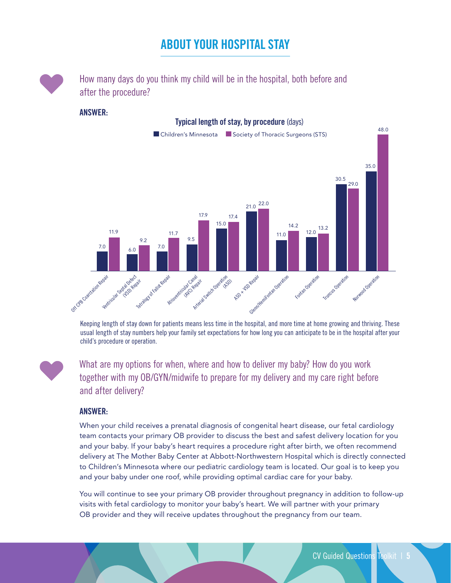# ABOUT YOUR HOSPITAL STAY



How many days do you think my child will be in the hospital, both before and after the procedure?

#### ANSWER:



Keeping length of stay down for patients means less time in the hospital, and more time at home growing and thriving. These usual length of stay numbers help your family set expectations for how long you can anticipate to be in the hospital after your child's procedure or operation.

What are my options for when, where and how to deliver my baby? How do you work together with my OB/GYN/midwife to prepare for my delivery and my care right before and after delivery?

#### ANSWER:

When your child receives a prenatal diagnosis of congenital heart disease, our fetal cardiology team contacts your primary OB provider to discuss the best and safest delivery location for you and your baby. If your baby's heart requires a procedure right after birth, we often recommend delivery at The Mother Baby Center at Abbott-Northwestern Hospital which is directly connected to Children's Minnesota where our pediatric cardiology team is located. Our goal is to keep you and your baby under one roof, while providing optimal cardiac care for your baby.

You will continue to see your primary OB provider throughout pregnancy in addition to follow-up visits with fetal cardiology to monitor your baby's heart. We will partner with your primary OB provider and they will receive updates throughout the pregnancy from our team.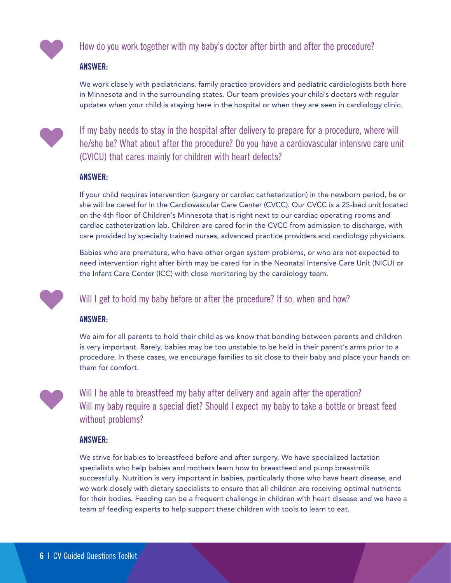

How do you work together with my baby's doctor after birth and after the procedure?

#### ANSWER:

We work closely with pediatricians, family practice providers and pediatric cardiologists both here in Minnesota and in the surrounding states. Our team provides your child's doctors with regular updates when your child is staying here in the hospital or when they are seen in cardiology clinic.



If my baby needs to stay in the hospital after delivery to prepare for a procedure, where will he/she be? What about after the procedure? Do you have a cardiovascular intensive care unit (CVICU) that cares mainly for children with heart defects?

#### ANSWER:

If your child requires intervention (surgery or cardiac catheterization) in the newborn period, he or she will be cared for in the Cardiovascular Care Center (CVCC). Our CVCC is a 25-bed unit located on the 4th floor of Children's Minnesota that is right next to our cardiac operating rooms and cardiac catheterization lab. Children are cared for in the CVCC from admission to discharge, with care provided by specialty trained nurses, advanced practice providers and cardiology physicians.

Babies who are premature, who have other organ system problems, or who are not expected to need intervention right after birth may be cared for in the Neonatal Intensive Care Unit (NICU) or the Infant Care Center (ICC) with close monitoring by the cardiology team.



Will I get to hold my baby before or after the procedure? If so, when and how?

#### ANSWER:

We aim for all parents to hold their child as we know that bonding between parents and children is very important. Rarely, babies may be too unstable to be held in their parent's arms prior to a procedure. In these cases, we encourage families to sit close to their baby and place your hands on them for comfort.



Will I be able to breastfeed my baby after delivery and again after the operation? Will my baby require a special diet? Should I expect my baby to take a bottle or breast feed without problems?

#### ANSWER:

We strive for babies to breastfeed before and after surgery. We have specialized lactation specialists who help babies and mothers learn how to breastfeed and pump breastmilk successfully. Nutrition is very important in babies, particularly those who have heart disease, and we work closely with dietary specialists to ensure that all children are receiving optimal nutrients for their bodies. Feeding can be a frequent challenge in children with heart disease and we have a team of feeding experts to help support these children with tools to learn to eat.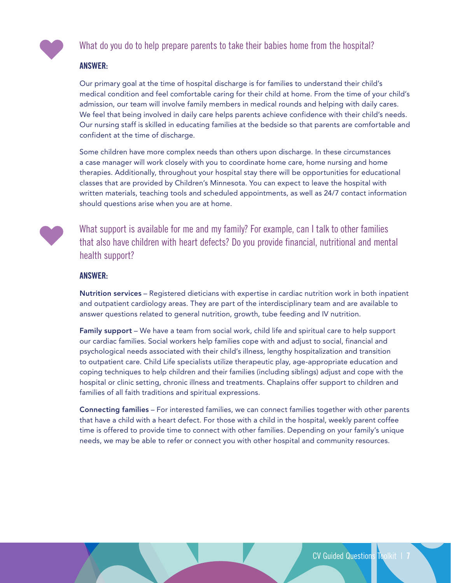

### What do you do to help prepare parents to take their babies home from the hospital?

#### ANSWER:

Our primary goal at the time of hospital discharge is for families to understand their child's medical condition and feel comfortable caring for their child at home. From the time of your child's admission, our team will involve family members in medical rounds and helping with daily cares. We feel that being involved in daily care helps parents achieve confidence with their child's needs. Our nursing staff is skilled in educating families at the bedside so that parents are comfortable and confident at the time of discharge.

Some children have more complex needs than others upon discharge. In these circumstances a case manager will work closely with you to coordinate home care, home nursing and home therapies. Additionally, throughout your hospital stay there will be opportunities for educational classes that are provided by Children's Minnesota. You can expect to leave the hospital with written materials, teaching tools and scheduled appointments, as well as 24/7 contact information should questions arise when you are at home.



What support is available for me and my family? For example, can I talk to other families that also have children with heart defects? Do you provide financial, nutritional and mental health support?

#### ANSWER:

Nutrition services – Registered dieticians with expertise in cardiac nutrition work in both inpatient and outpatient cardiology areas. They are part of the interdisciplinary team and are available to answer questions related to general nutrition, growth, tube feeding and IV nutrition.

Family support – We have a team from social work, child life and spiritual care to help support our cardiac families. Social workers help families cope with and adjust to social, financial and psychological needs associated with their child's illness, lengthy hospitalization and transition to outpatient care. Child Life specialists utilize therapeutic play, age-appropriate education and coping techniques to help children and their families (including siblings) adjust and cope with the hospital or clinic setting, chronic illness and treatments. Chaplains offer support to children and families of all faith traditions and spiritual expressions.

Connecting families – For interested families, we can connect families together with other parents that have a child with a heart defect. For those with a child in the hospital, weekly parent coffee time is offered to provide time to connect with other families. Depending on your family's unique needs, we may be able to refer or connect you with other hospital and community resources.